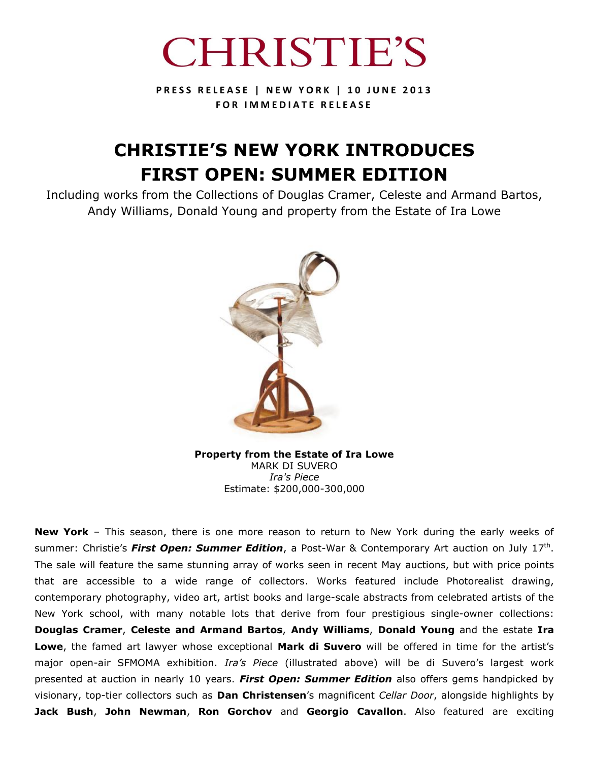

**P R E S S R E L E A S E | N E W Y O R K | 1 0 J U N E 2 0 1 3 FOR IMMEDIATE RELEASE** 

# **CHRISTIE'S NEW YORK INTRODUCES FIRST OPEN: SUMMER EDITION**

Including works from the Collections of Douglas Cramer, Celeste and Armand Bartos, Andy Williams, Donald Young and property from the Estate of Ira Lowe



**Property from the Estate of Ira Lowe** MARK DI SUVERO *Ira's Piece* Estimate: \$200,000-300,000

**New York** – This season, there is one more reason to return to New York during the early weeks of summer: Christie's *First Open: Summer Edition*, a Post-War & Contemporary Art auction on July 17<sup>th</sup>. The sale will feature the same stunning array of works seen in recent May auctions, but with price points that are accessible to a wide range of collectors. Works featured include Photorealist drawing, contemporary photography, video art, artist books and large-scale abstracts from celebrated artists of the New York school, with many notable lots that derive from four prestigious single-owner collections: **Douglas Cramer**, **Celeste and Armand Bartos**, **Andy Williams**, **Donald Young** and the estate **Ira Lowe**, the famed art lawyer whose exceptional **Mark di Suvero** will be offered in time for the artist's major open-air SFMOMA exhibition. *Ira's Piece* (illustrated above) will be di Suvero's largest work presented at auction in nearly 10 years. *First Open: Summer Edition* also offers gems handpicked by visionary, top-tier collectors such as **Dan Christensen**'s magnificent *Cellar Door*, alongside highlights by **Jack Bush**, **John Newman**, **Ron Gorchov** and **Georgio Cavallon**. Also featured are exciting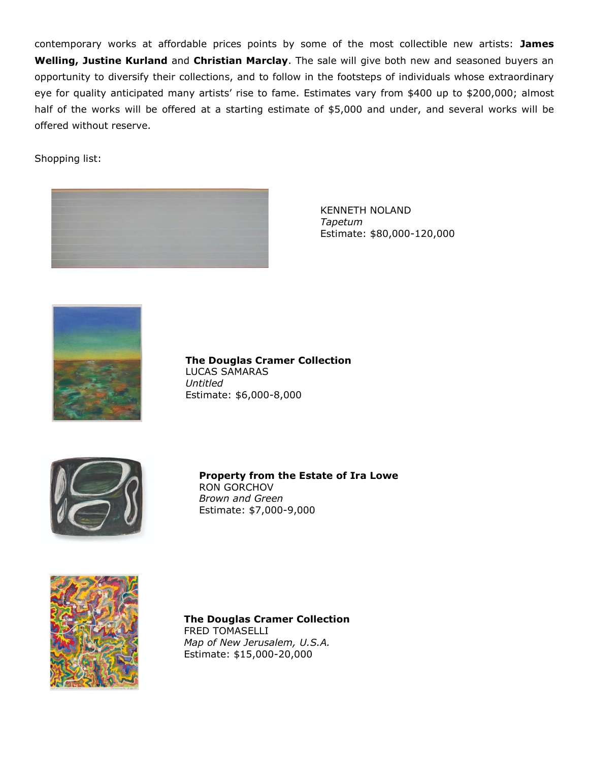contemporary works at affordable prices points by some of the most collectible new artists: **James Welling, Justine Kurland** and **Christian Marclay**. The sale will give both new and seasoned buyers an opportunity to diversify their collections, and to follow in the footsteps of individuals whose extraordinary eye for quality anticipated many artists' rise to fame. Estimates vary from \$400 up to \$200,000; almost half of the works will be offered at a starting estimate of \$5,000 and under, and several works will be offered without reserve.

Shopping list:



KENNETH NOLAND *Tapetum* Estimate: \$80,000-120,000



**The Douglas Cramer Collection** LUCAS SAMARAS *Untitled* Estimate: \$6,000-8,000



**Property from the Estate of Ira Lowe** RON GORCHOV *Brown and Green* Estimate: \$7,000-9,000



**The Douglas Cramer Collection** FRED TOMASELLI *Map of New Jerusalem, U.S.A.* Estimate: \$15,000-20,000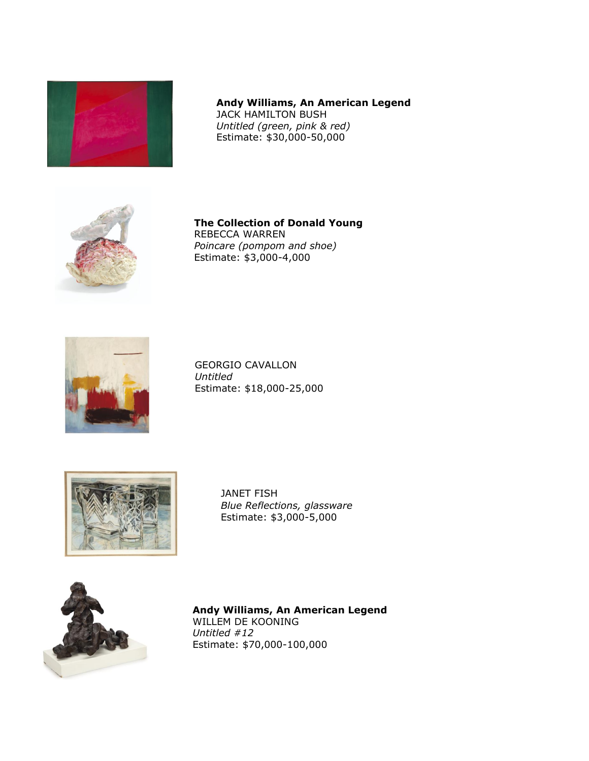

# **Andy Williams, An American Legend** JACK HAMILTON BUSH

*Untitled (green, pink & red)* Estimate: \$30,000-50,000



**The Collection of Donald Young** REBECCA WARREN *Poincare (pompom and shoe)* Estimate: \$3,000-4,000



GEORGIO CAVALLON *Untitled* Estimate: \$18,000-25,000



JANET FISH *Blue Reflections, glassware* Estimate: \$3,000-5,000



**Andy Williams, An American Legend**  WILLEM DE KOONING *Untitled #12* Estimate: \$70,000-100,000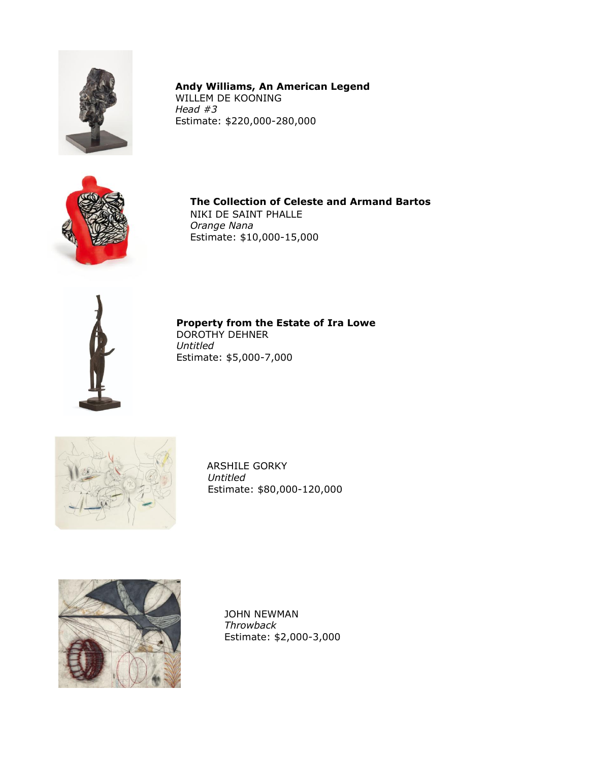

**Andy Williams, An American Legend**  WILLEM DE KOONING *Head #3* Estimate: \$220,000-280,000



**The Collection of Celeste and Armand Bartos**

NIKI DE SAINT PHALLE *Orange Nana* Estimate: \$10,000-15,000



**Property from the Estate of Ira Lowe** DOROTHY DEHNER

*Untitled* Estimate: \$5,000-7,000



 ARSHILE GORKY *Untitled* Estimate: \$80,000-120,000



JOHN NEWMAN *Throwback* Estimate: \$2,000-3,000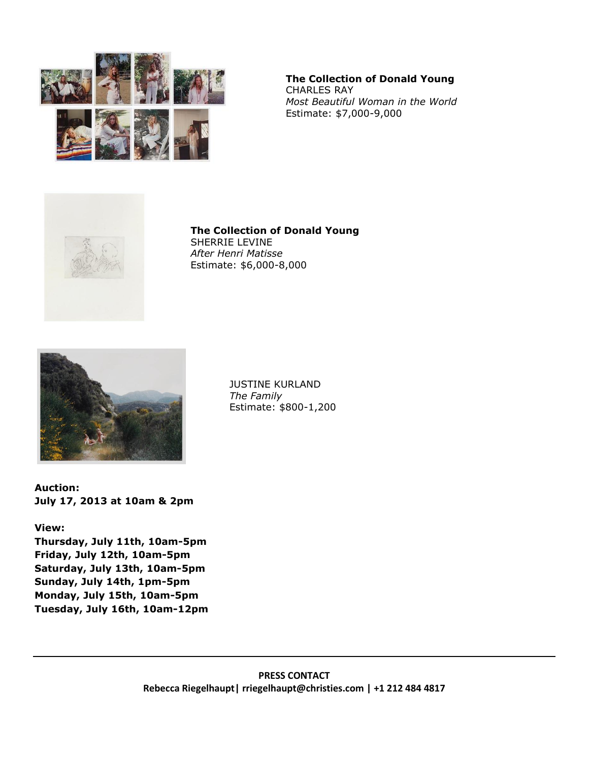

#### **The Collection of Donald Young** CHARLES RAY *Most Beautiful Woman in the World* Estimate: \$7,000-9,000



**The Collection of Donald Young** SHERRIE LEVINE *After Henri Matisse* Estimate: \$6,000-8,000



JUSTINE KURLAND *The Family* Estimate: \$800-1,200

**Auction: July 17, 2013 at 10am & 2pm**

## **View:**

**Thursday, July 11th, 10am-5pm Friday, July 12th, 10am-5pm Saturday, July 13th, 10am-5pm Sunday, July 14th, 1pm-5pm Monday, July 15th, 10am-5pm Tuesday, July 16th, 10am-12pm**